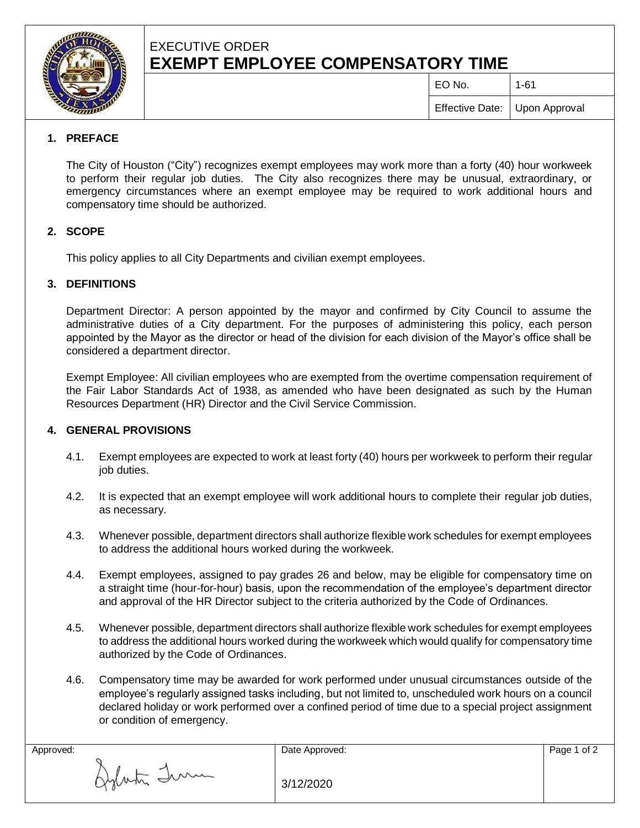

# EXECUTIVE ORDER **EXEMPT EMPLOYEE COMPENSATORY TIME**

 $E$ O No.  $\vert$  1-61

Effective Date: Upon Approval

## **1. PREFACE**

The City of Houston ("City") recognizes exempt employees may work more than a forty (40) hour workweek to perform their regular job duties. The City also recognizes there may be unusual, extraordinary, or emergency circumstances where an exempt employee may be required to work additional hours and compensatory time should be authorized.

### **2. SCOPE**

This policy applies to all City Departments and civilian exempt employees.

## **3. DEFINITIONS**

Department Director: A person appointed by the mayor and confirmed by City Council to assume the administrative duties of a City department. For the purposes of administering this policy, each person appointed by the Mayor as the director or head of the division for each division of the Mayor's office shall be considered a department director.

Exempt Employee: All civilian employees who are exempted from the overtime compensation requirement of the Fair Labor Standards Act of 1938, as amended who have been designated as such by the Human Resources Department (HR) Director and the Civil Service Commission.

### **4. GENERAL PROVISIONS**

- 4.1. Exempt employees are expected to work at least forty (40) hours per workweek to perform their regular job duties.
- 4.2. It is expected that an exempt employee will work additional hours to complete their regular job duties, as necessary.
- 4.3. Whenever possible, department directors shall authorize flexible work schedules for exempt employees to address the additional hours worked during the workweek.
- 4.4. Exempt employees, assigned to pay grades 26 and below, may be eligible for compensatory time on a straight time (hour-for-hour) basis, upon the recommendation of the employee's department director and approval of the HR Director subject to the criteria authorized by the Code of Ordinances.
- 4.5. Whenever possible, department directors shall authorize flexible work schedules for exempt employees to address the additional hours worked during the workweek which would qualify for compensatory time authorized by the Code of Ordinances.
- 4.6. Compensatory time may be awarded for work performed under unusual circumstances outside of the employee's regularly assigned tasks including, but not limited to, unscheduled work hours on a council declared holiday or work performed over a confined period of time due to a special project assignment or condition of emergency.

Aylata Imm

|  | 3/12/2020 |  |
|--|-----------|--|
|--|-----------|--|